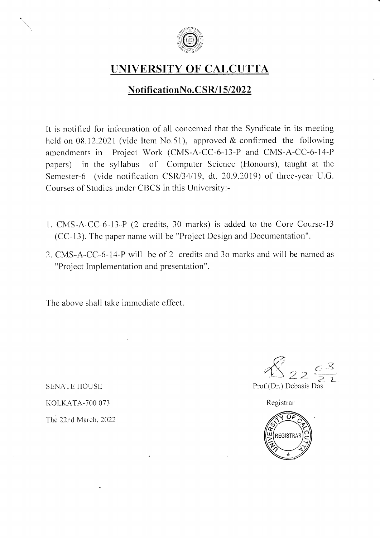

## UNIVERSITY OF CALCUTTA

## NotificationNo.CSR/15/2022

It is notified for information of all concerned that the Syndicate in its meeting held on 08.12.2021 (vide Item No.51), approved & confirmed the following amendments in Project Work (CMS-A-CC-6-13-P and CMS-A-CC-6-14-P papers) in the syllabus of Computer Science (Honours), taught at the Semester-6 (vide notification CSR/34/19, dt. 20.9.2019) of three-year U.G. Courses of Studies under CBCS in this University:-

- 1. CMS-A-CC-6-13-P (2 crcdits,30 marks) is added to the Core Coursc-13  $(CC-13)$ . The paper name will be "Project Design and Documentation".
- 2. CMS-A-CC-6-14-P will be of 2 credits and 3o marks and will be named as "Project Implementation and presentation".

The above shall take immediate effect.

**SENATE HOUSE** KOLKATA-700 073 The 22nd March, 2022

Prof.(Dr.) Debasis Das

Registrar